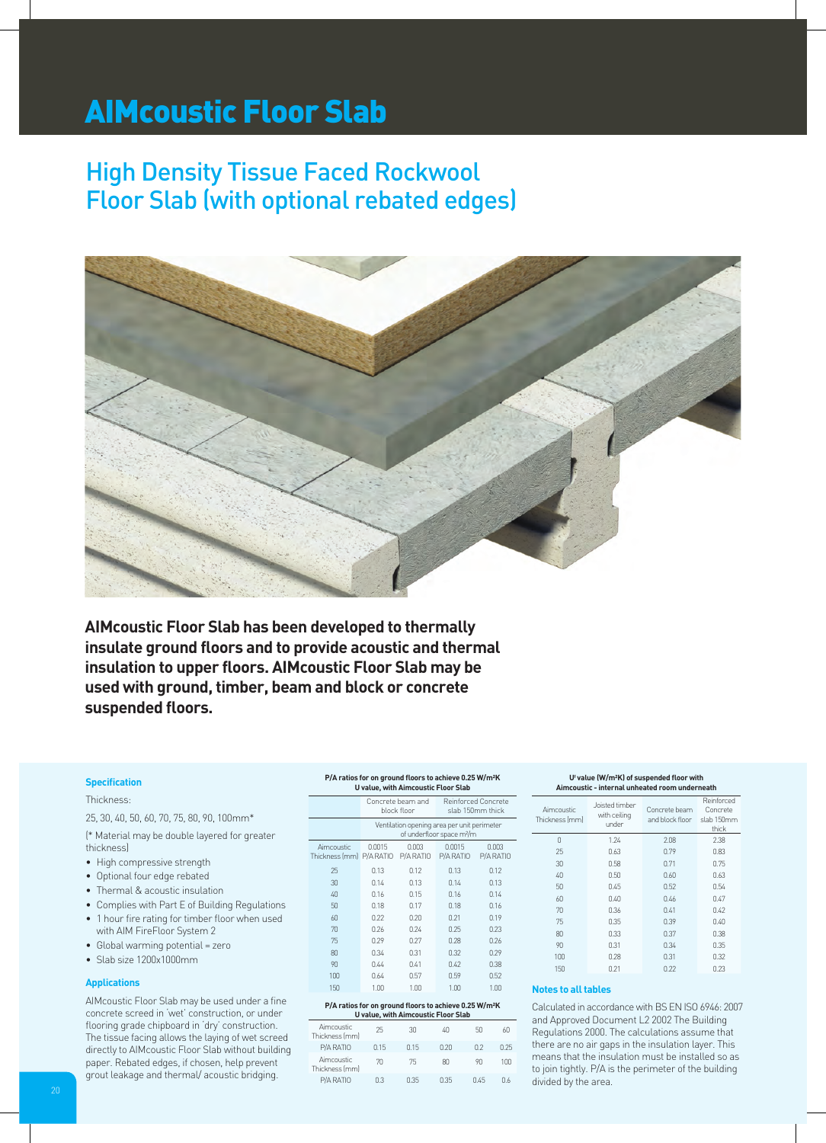# AIMcoustic Floor Slab

# High Density Tissue Faced Rockwool Floor Slab (with optional rebated edges)



**AIMcoustic Floor Slab has been developed to thermally insulate ground floors and to provide acoustic and thermal insulation to upper floors. AIMcoustic Floor Slab may be used with ground, timber, beam and block or concrete suspended floors.**

# **Specification**

Thickness:

25, 30, 40, 50, 60, 70, 75, 80, 90, 100mm\*

(\* Material may be double layered for greater thickness)

- High compressive strength
- Optional four edge rebated
- Thermal & acoustic insulation
- Complies with Part E of Building Regulations
- 1 hour fire rating for timber floor when used with AIM FireFloor System 2
- Global warming potential = zero
- Slab size 1200x1000mm

#### **Applications**

AIMcoustic Floor Slab may be used under a fine concrete screed in 'wet' construction, or under flooring grade chipboard in 'dry' construction. The tissue facing allows the laying of wet screed directly to AIMcoustic Floor Slab without building paper. Rebated edges, if chosen, help prevent grout leakage and thermal/ acoustic bridging.

#### **P/A ratios for on ground floors to achieve 0.25 W/m²K U value, with Aimcoustic Floor Slab**

|                                        | Concrete beam and<br>block floor                                                     |                    | Reinforced Concrete<br>slab 150mm thick |                    |
|----------------------------------------|--------------------------------------------------------------------------------------|--------------------|-----------------------------------------|--------------------|
|                                        | Ventilation opening area per unit perimeter<br>of underfloor space m <sup>2</sup> /m |                    |                                         |                    |
| Aimcoustic<br>Thickness [mm] P/A RATIO | 0.0015                                                                               | 0.003<br>P/A RATIO | 0.0015<br>P/A RATIO                     | 0.003<br>P/A RATIO |
| 25                                     | 0.13                                                                                 | 0.12               | 0.13                                    | 0.12               |
| 30                                     | 0.14                                                                                 | 0.13               | 0.14                                    | 0.13               |
| 40                                     | 0.16                                                                                 | 0.15               | 0.16                                    | 0.14               |
| 50                                     | 0.18                                                                                 | 0.17               | 0.18                                    | 0.16               |
| 60                                     | 0.22                                                                                 | 0.20               | 0.21                                    | 0.19               |
| 70                                     | 0.26                                                                                 | 0.24               | 0.25                                    | 0.23               |
| 75                                     | 0.29                                                                                 | 0.27               | 0.28                                    | 0.26               |
| 80                                     | 0.34                                                                                 | 0.31               | 0.32                                    | 0.29               |
| 90                                     | 0.44                                                                                 | 0.41               | 0.42                                    | 0.38               |
| 100                                    | 0.64                                                                                 | 0.57               | 0.59                                    | 0.52               |
| 150                                    | 1.00                                                                                 | 1.00               | 1.00                                    | 1.00               |

| P/A ratios for on ground floors to achieve 0.25 W/m <sup>2</sup> K<br>U value, with Aimcoustic Floor Slab |      |      |      |      |      |  |  |
|-----------------------------------------------------------------------------------------------------------|------|------|------|------|------|--|--|
| Aimcoustic<br>Thickness (mm)                                                                              | 25   | 30   | 40   | 50   | ΑN   |  |  |
| P/A RATIO                                                                                                 | 0.15 | 0.15 | 0.20 | 02   | Q 25 |  |  |
| Aimcoustic<br>Thickness (mm)                                                                              | 70   | 75   | RΠ   | 90   | 100  |  |  |
| P/A RATIO                                                                                                 | nз   | 0.35 | 0.35 | በ 45 | Π 6  |  |  |

| Uf value (W/m <sup>2</sup> K) of suspended floor with<br>Aimcoustic - internal unheated room underneath |                                         |                                  |                                               |  |  |  |  |
|---------------------------------------------------------------------------------------------------------|-----------------------------------------|----------------------------------|-----------------------------------------------|--|--|--|--|
| Aimcoustic<br>Thickness (mm)                                                                            | Joisted timber<br>with ceiling<br>under | Concrete beam<br>and block floor | Reinforced<br>Concrete<br>slab 150mm<br>thick |  |  |  |  |
| $\Omega$                                                                                                | 1.24                                    | 2.08                             | 2.38                                          |  |  |  |  |
| 25                                                                                                      | 0.63                                    | 0.79                             | 0.83                                          |  |  |  |  |
| 30                                                                                                      | 0.58                                    | 0.71                             | 0.75                                          |  |  |  |  |
| 40                                                                                                      | 0.50                                    | 0.60                             | 0.63                                          |  |  |  |  |
| 50                                                                                                      | 0.45                                    | 0.52                             | 0.54                                          |  |  |  |  |
| 60                                                                                                      | 0.40                                    | 0.46                             | 0.47                                          |  |  |  |  |
| 70                                                                                                      | 0.36                                    | 0.41                             | 0.42                                          |  |  |  |  |
| 75                                                                                                      | 0.35                                    | 0.39                             | 0.40                                          |  |  |  |  |
| 80                                                                                                      | 0.33                                    | 0.37                             | 0.38                                          |  |  |  |  |
| 90                                                                                                      | 0.31                                    | 0.34                             | 0.35                                          |  |  |  |  |
| 100                                                                                                     | 0.28                                    | 0.31                             | 0.32                                          |  |  |  |  |
| 150                                                                                                     | 0.21                                    | 0.22                             | 0.23                                          |  |  |  |  |

## **Notes to all tables**

Calculated in accordance with BS EN ISO 6946: 2007 and Approved Document L2 2002 The Building Regulations 2000. The calculations assume that there are no air gaps in the insulation layer. This means that the insulation must be installed so as to join tightly. P/A is the perimeter of the building divided by the area.